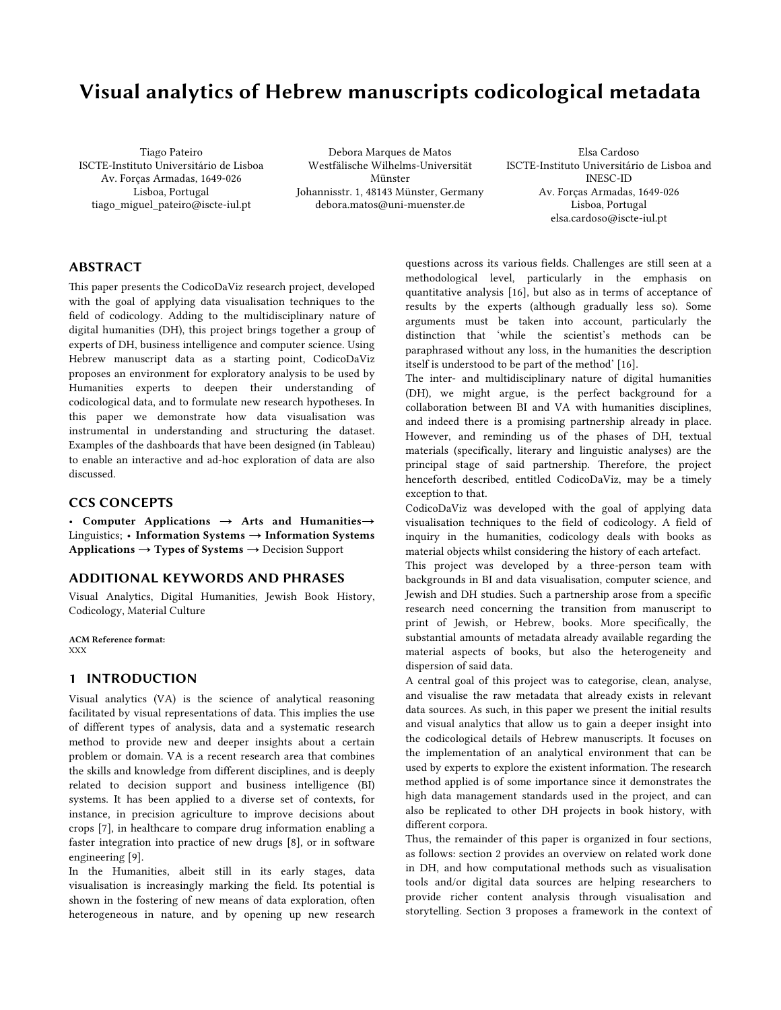# Visual analytics of Hebrew manuscripts codicological metadata

Tiago Pateiro ISCTE-Instituto Universitário de Lisboa Av. Forças Armadas, 1649-026 Lisboa, Portugal tiago\_miguel\_pateiro@iscte-iul.pt

Debora Marques de Matos Westfälische Wilhelms-Universität Münster Johannisstr. 1, 48143 Münster, Germany debora.matos@uni-muenster.de

Elsa Cardoso ISCTE-Instituto Universitário de Lisboa and INESC-ID Av. Forças Armadas, 1649-026 Lisboa, Portugal elsa.cardoso@iscte-iul.pt

# ABSTRACT

This paper presents the CodicoDaViz research project, developed with the goal of applying data visualisation techniques to the field of codicology. Adding to the multidisciplinary nature of digital humanities (DH), this project brings together a group of experts of DH, business intelligence and computer science. Using Hebrew manuscript data as a starting point, CodicoDaViz proposes an environment for exploratory analysis to be used by Humanities experts to deepen their understanding of codicological data, and to formulate new research hypotheses. In this paper we demonstrate how data visualisation was instrumental in understanding and structuring the dataset. Examples of the dashboards that have been designed (in Tableau) to enable an interactive and ad-hoc exploration of data are also discussed.

## CCS CONCEPTS

• Computer Applications → Arts and Humanities→ Linguistics; • Information Systems → Information Systems Applications → Types of Systems → Decision Support

## ADDITIONAL KEYWORDS AND PHRASES

Visual Analytics, Digital Humanities, Jewish Book History, Codicology, Material Culture

ACM Reference format: XXX

#### 1 INTRODUCTION

Visual analytics (VA) is the science of analytical reasoning facilitated by visual representations of data. This implies the use of different types of analysis, data and a systematic research method to provide new and deeper insights about a certain problem or domain. VA is a recent research area that combines the skills and knowledge from different disciplines, and is deeply related to decision support and business intelligence (BI) systems. It has been applied to a diverse set of contexts, for instance, in precision agriculture to improve decisions about crops [7], in healthcare to compare drug information enabling a faster integration into practice of new drugs [8], or in software engineering [9].

In the Humanities, albeit still in its early stages, data visualisation is increasingly marking the field. Its potential is shown in the fostering of new means of data exploration, often heterogeneous in nature, and by opening up new research questions across its various fields. Challenges are still seen at a methodological level, particularly in the emphasis on quantitative analysis [16], but also as in terms of acceptance of results by the experts (although gradually less so). Some arguments must be taken into account, particularly the distinction that 'while the scientist's methods can be paraphrased without any loss, in the humanities the description itself is understood to be part of the method' [16].

The inter- and multidisciplinary nature of digital humanities (DH), we might argue, is the perfect background for a collaboration between BI and VA with humanities disciplines, and indeed there is a promising partnership already in place. However, and reminding us of the phases of DH, textual materials (specifically, literary and linguistic analyses) are the principal stage of said partnership. Therefore, the project henceforth described, entitled CodicoDaViz, may be a timely exception to that.

CodicoDaViz was developed with the goal of applying data visualisation techniques to the field of codicology. A field of inquiry in the humanities, codicology deals with books as material objects whilst considering the history of each artefact.

This project was developed by a three-person team with backgrounds in BI and data visualisation, computer science, and Jewish and DH studies. Such a partnership arose from a specific research need concerning the transition from manuscript to print of Jewish, or Hebrew, books. More specifically, the substantial amounts of metadata already available regarding the material aspects of books, but also the heterogeneity and dispersion of said data.

A central goal of this project was to categorise, clean, analyse, and visualise the raw metadata that already exists in relevant data sources. As such, in this paper we present the initial results and visual analytics that allow us to gain a deeper insight into the codicological details of Hebrew manuscripts. It focuses on the implementation of an analytical environment that can be used by experts to explore the existent information. The research method applied is of some importance since it demonstrates the high data management standards used in the project, and can also be replicated to other DH projects in book history, with different corpora.

Thus, the remainder of this paper is organized in four sections, as follows: section 2 provides an overview on related work done in DH, and how computational methods such as visualisation tools and/or digital data sources are helping researchers to provide richer content analysis through visualisation and storytelling. Section 3 proposes a framework in the context of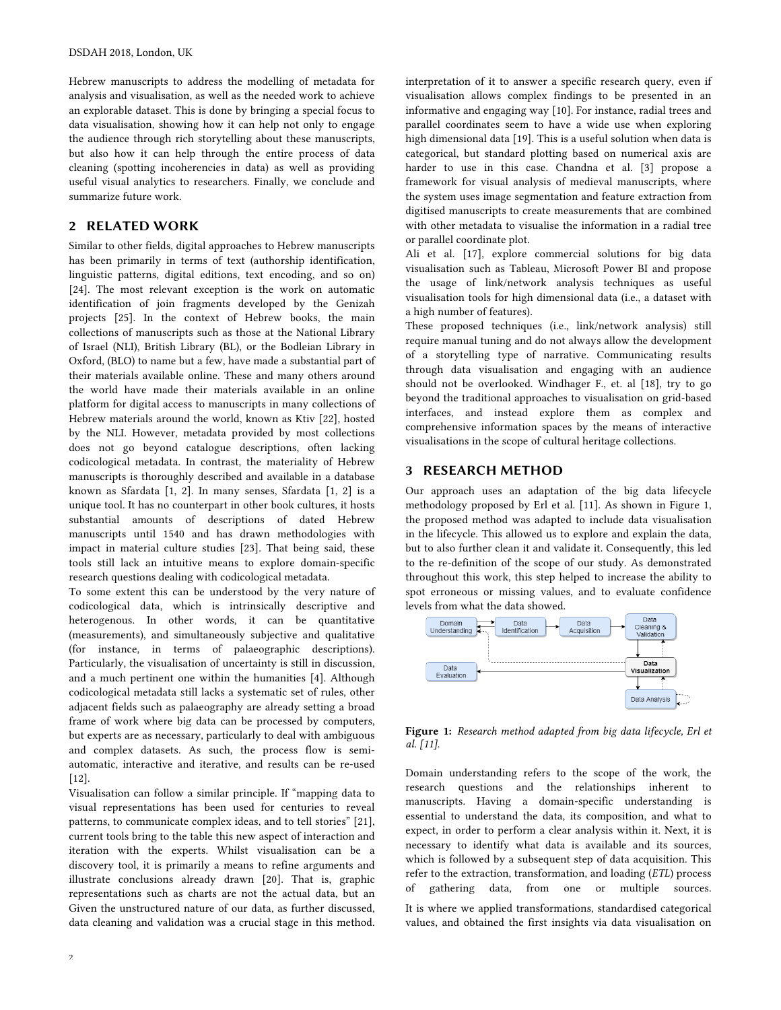Hebrew manuscripts to address the modelling of metadata for analysis and visualisation, as well as the needed work to achieve an explorable dataset. This is done by bringing a special focus to data visualisation, showing how it can help not only to engage the audience through rich storytelling about these manuscripts, but also how it can help through the entire process of data cleaning (spotting incoherencies in data) as well as providing useful visual analytics to researchers. Finally, we conclude and summarize future work.

# 2 RELATED WORK

Similar to other fields, digital approaches to Hebrew manuscripts has been primarily in terms of text (authorship identification, linguistic patterns, digital editions, text encoding, and so on) [24]. The most relevant exception is the work on automatic identification of join fragments developed by the Genizah projects [25]. In the context of Hebrew books, the main collections of manuscripts such as those at the National Library of Israel (NLI), British Library (BL), or the Bodleian Library in Oxford, (BLO) to name but a few, have made a substantial part of their materials available online. These and many others around the world have made their materials available in an online platform for digital access to manuscripts in many collections of Hebrew materials around the world, known as Ktiv [22], hosted by the NLI. However, metadata provided by most collections does not go beyond catalogue descriptions, often lacking codicological metadata. In contrast, the materiality of Hebrew manuscripts is thoroughly described and available in a database known as Sfardata [1, 2]. In many senses, Sfardata [1, 2] is a unique tool. It has no counterpart in other book cultures, it hosts substantial amounts of descriptions of dated Hebrew manuscripts until 1540 and has drawn methodologies with impact in material culture studies [23]. That being said, these tools still lack an intuitive means to explore domain-specific research questions dealing with codicological metadata.

To some extent this can be understood by the very nature of codicological data, which is intrinsically descriptive and heterogenous. In other words, it can be quantitative (measurements), and simultaneously subjective and qualitative (for instance, in terms of palaeographic descriptions). Particularly, the visualisation of uncertainty is still in discussion, and a much pertinent one within the humanities [4]. Although codicological metadata still lacks a systematic set of rules, other adjacent fields such as palaeography are already setting a broad frame of work where big data can be processed by computers, but experts are as necessary, particularly to deal with ambiguous and complex datasets. As such, the process flow is semiautomatic, interactive and iterative, and results can be re-used [12].

Visualisation can follow a similar principle. If "mapping data to visual representations has been used for centuries to reveal patterns, to communicate complex ideas, and to tell stories" [21], current tools bring to the table this new aspect of interaction and iteration with the experts. Whilst visualisation can be a discovery tool, it is primarily a means to refine arguments and illustrate conclusions already drawn [20]. That is, graphic representations such as charts are not the actual data, but an Given the unstructured nature of our data, as further discussed, data cleaning and validation was a crucial stage in this method.

 $\overline{2}$ 

interpretation of it to answer a specific research query, even if visualisation allows complex findings to be presented in an informative and engaging way [10]. For instance, radial trees and parallel coordinates seem to have a wide use when exploring high dimensional data [19]. This is a useful solution when data is categorical, but standard plotting based on numerical axis are harder to use in this case. Chandna et al. [3] propose a framework for visual analysis of medieval manuscripts, where the system uses image segmentation and feature extraction from digitised manuscripts to create measurements that are combined with other metadata to visualise the information in a radial tree or parallel coordinate plot.

Ali et al. [17], explore commercial solutions for big data visualisation such as Tableau, Microsoft Power BI and propose the usage of link/network analysis techniques as useful visualisation tools for high dimensional data (i.e., a dataset with a high number of features).

These proposed techniques (i.e., link/network analysis) still require manual tuning and do not always allow the development of a storytelling type of narrative. Communicating results through data visualisation and engaging with an audience should not be overlooked. Windhager F., et. al [18], try to go beyond the traditional approaches to visualisation on grid-based interfaces, and instead explore them as complex and comprehensive information spaces by the means of interactive visualisations in the scope of cultural heritage collections.

#### 3 RESEARCH METHOD

Our approach uses an adaptation of the big data lifecycle methodology proposed by Erl et al. [11]. As shown in Figure 1, the proposed method was adapted to include data visualisation in the lifecycle. This allowed us to explore and explain the data, but to also further clean it and validate it. Consequently, this led to the re-definition of the scope of our study. As demonstrated throughout this work, this step helped to increase the ability to spot erroneous or missing values, and to evaluate confidence levels from what the data showed.



Figure 1: *Research method adapted from big data lifecycle, Erl et al. [11].*

Domain understanding refers to the scope of the work, the research questions and the relationships inherent to manuscripts. Having a domain-specific understanding is essential to understand the data, its composition, and what to expect, in order to perform a clear analysis within it. Next, it is necessary to identify what data is available and its sources, which is followed by a subsequent step of data acquisition. This refer to the extraction, transformation, and loading (*ETL*) process of gathering data, from one or multiple sources.

It is where we applied transformations, standardised categorical values, and obtained the first insights via data visualisation on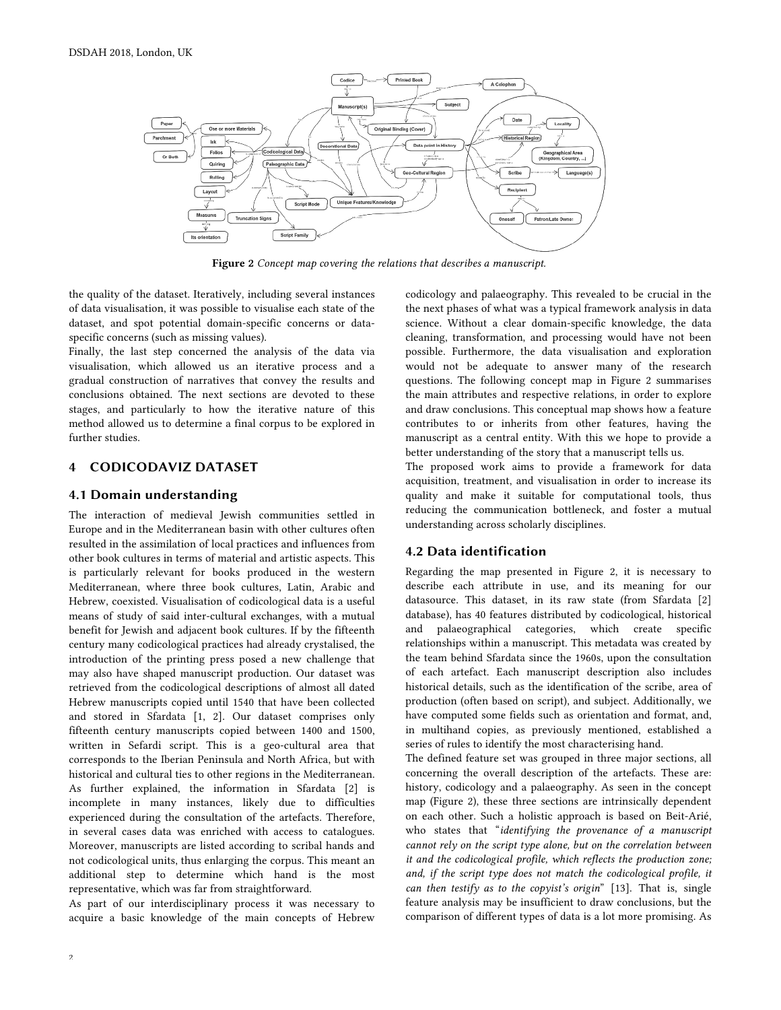

Figure 2 *Concept map covering the relations that describes a manuscript.*

the quality of the dataset. Iteratively, including several instances of data visualisation, it was possible to visualise each state of the dataset, and spot potential domain-specific concerns or dataspecific concerns (such as missing values).

Finally, the last step concerned the analysis of the data via visualisation, which allowed us an iterative process and a gradual construction of narratives that convey the results and conclusions obtained. The next sections are devoted to these stages, and particularly to how the iterative nature of this method allowed us to determine a final corpus to be explored in further studies.

# 4 CODICODAVIZ DATASET

#### 4.1 Domain understanding

The interaction of medieval Jewish communities settled in Europe and in the Mediterranean basin with other cultures often resulted in the assimilation of local practices and influences from other book cultures in terms of material and artistic aspects. This is particularly relevant for books produced in the western Mediterranean, where three book cultures, Latin, Arabic and Hebrew, coexisted. Visualisation of codicological data is a useful means of study of said inter-cultural exchanges, with a mutual benefit for Jewish and adjacent book cultures. If by the fifteenth century many codicological practices had already crystalised, the introduction of the printing press posed a new challenge that may also have shaped manuscript production. Our dataset was retrieved from the codicological descriptions of almost all dated Hebrew manuscripts copied until 1540 that have been collected and stored in Sfardata [1, 2]. Our dataset comprises only fifteenth century manuscripts copied between 1400 and 1500, written in Sefardi script. This is a geo-cultural area that corresponds to the Iberian Peninsula and North Africa, but with historical and cultural ties to other regions in the Mediterranean. As further explained, the information in Sfardata [2] is incomplete in many instances, likely due to difficulties experienced during the consultation of the artefacts. Therefore, in several cases data was enriched with access to catalogues. Moreover, manuscripts are listed according to scribal hands and not codicological units, thus enlarging the corpus. This meant an additional step to determine which hand is the most representative, which was far from straightforward.

As part of our interdisciplinary process it was necessary to acquire a basic knowledge of the main concepts of Hebrew codicology and palaeography. This revealed to be crucial in the the next phases of what was a typical framework analysis in data science. Without a clear domain-specific knowledge, the data cleaning, transformation, and processing would have not been possible. Furthermore, the data visualisation and exploration would not be adequate to answer many of the research questions. The following concept map in Figure 2 summarises the main attributes and respective relations, in order to explore and draw conclusions. This conceptual map shows how a feature contributes to or inherits from other features, having the manuscript as a central entity. With this we hope to provide a better understanding of the story that a manuscript tells us.

The proposed work aims to provide a framework for data acquisition, treatment, and visualisation in order to increase its quality and make it suitable for computational tools, thus reducing the communication bottleneck, and foster a mutual understanding across scholarly disciplines.

## 4.2 Data identification

Regarding the map presented in Figure 2, it is necessary to describe each attribute in use, and its meaning for our datasource. This dataset, in its raw state (from Sfardata [2] database), has 40 features distributed by codicological, historical and palaeographical categories, which create specific relationships within a manuscript. This metadata was created by the team behind Sfardata since the 1960s, upon the consultation of each artefact. Each manuscript description also includes historical details, such as the identification of the scribe, area of production (often based on script), and subject. Additionally, we have computed some fields such as orientation and format, and, in multihand copies, as previously mentioned, established a series of rules to identify the most characterising hand.

The defined feature set was grouped in three major sections, all concerning the overall description of the artefacts. These are: history, codicology and a palaeography. As seen in the concept map (Figure 2), these three sections are intrinsically dependent on each other. Such a holistic approach is based on Beit-Arié, who states that "*identifying the provenance of a manuscript cannot rely on the script type alone, but on the correlation between it and the codicological profile, which reflects the production zone;*  and, if the script type does not match the codicological profile, it *can then testify as to the copyist's origin*" [13]. That is, single feature analysis may be insufficient to draw conclusions, but the comparison of different types of data is a lot more promising. As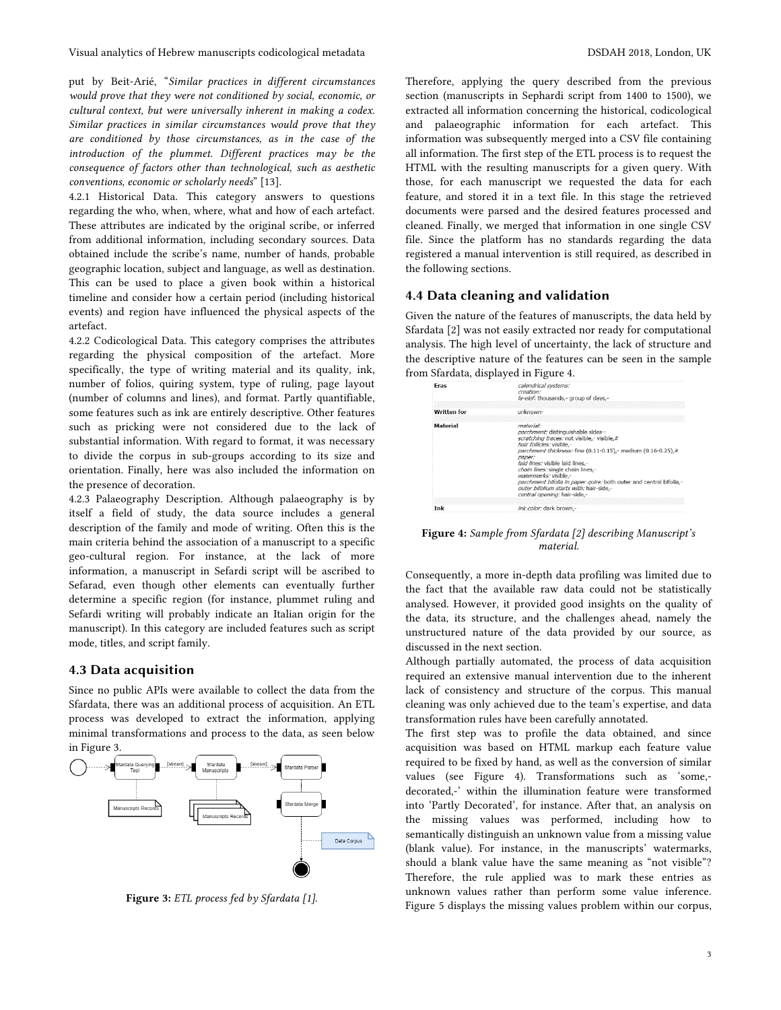put by Beit-Arié, "*Similar practices in different circumstances would prove that they were not conditioned by social, economic, or cultural context, but were universally inherent in making a codex. Similar practices in similar circumstances would prove that they are conditioned by those circumstances, as in the case of the introduction of the plummet. Different practices may be the consequence of factors other than technological, such as aesthetic conventions, economic or scholarly needs*" [13].

4.2.1 Historical Data. This category answers to questions regarding the who, when, where, what and how of each artefact. These attributes are indicated by the original scribe, or inferred from additional information, including secondary sources. Data obtained include the scribe's name, number of hands, probable geographic location, subject and language, as well as destination. This can be used to place a given book within a historical timeline and consider how a certain period (including historical events) and region have influenced the physical aspects of the artefact.

4.2.2 Codicological Data. This category comprises the attributes regarding the physical composition of the artefact. More specifically, the type of writing material and its quality, ink, number of folios, quiring system, type of ruling, page layout (number of columns and lines), and format. Partly quantifiable, some features such as ink are entirely descriptive. Other features such as pricking were not considered due to the lack of substantial information. With regard to format, it was necessary to divide the corpus in sub-groups according to its size and orientation. Finally, here was also included the information on the presence of decoration.

4.2.3 Palaeography Description. Although palaeography is by itself a field of study, the data source includes a general description of the family and mode of writing. Often this is the main criteria behind the association of a manuscript to a specific geo-cultural region. For instance, at the lack of more information, a manuscript in Sefardi script will be ascribed to Sefarad, even though other elements can eventually further determine a specific region (for instance, plummet ruling and Sefardi writing will probably indicate an Italian origin for the manuscript). In this category are included features such as script mode, titles, and script family.

### 4.3 Data acquisition

Since no public APIs were available to collect the data from the Sfardata, there was an additional process of acquisition. An ETL process was developed to extract the information, applying minimal transformations and process to the data, as seen below in Figure 3.



Figure 3: *ETL process fed by Sfardata [1].*

Therefore, applying the query described from the previous section (manuscripts in Sephardi script from 1400 to 1500), we extracted all information concerning the historical, codicological and palaeographic information for each artefact. This information was subsequently merged into a CSV file containing all information. The first step of the ETL process is to request the HTML with the resulting manuscripts for a given query. With those, for each manuscript we requested the data for each feature, and stored it in a text file. In this stage the retrieved documents were parsed and the desired features processed and cleaned. Finally, we merged that information in one single CSV file. Since the platform has no standards regarding the data registered a manual intervention is still required, as described in the following sections.

## 4.4 Data cleaning and validation

Given the nature of the features of manuscripts, the data held by Sfardata [2] was not easily extracted nor ready for computational analysis. The high level of uncertainty, the lack of structure and the descriptive nature of the features can be seen in the sample from Sfardata, displayed in Figure 4.

| Eras               | calendrical systems:<br>creation:<br>la-elef: thousands,- group of days,-                                                                                                                                                                                                                                                                                                                                                                               |
|--------------------|---------------------------------------------------------------------------------------------------------------------------------------------------------------------------------------------------------------------------------------------------------------------------------------------------------------------------------------------------------------------------------------------------------------------------------------------------------|
| <b>Written for</b> | unknown-                                                                                                                                                                                                                                                                                                                                                                                                                                                |
| Material           | material:<br>parchment: distinguishable sides--<br>scratching traces; not visible.- visible.#<br>hair follicles: visible.-<br>parchment thickness: fine (0.11-0.15),- medium (0.16-0.25),#<br>paper:<br>laid lines: visible laid lines.-<br>chain lines: single chain lines,-<br>watermarks: visible,-<br>parchment bifolia in paper quire: both outer and central bifolia,-<br>outer bifolium starts with: hair-side,-<br>central opening: hair-side,- |
| Ink                | ink color: dark brown,-                                                                                                                                                                                                                                                                                                                                                                                                                                 |

Figure 4: *Sample from Sfardata [2] describing Manuscript's material.*

Consequently, a more in-depth data profiling was limited due to the fact that the available raw data could not be statistically analysed. However, it provided good insights on the quality of the data, its structure, and the challenges ahead, namely the unstructured nature of the data provided by our source, as discussed in the next section.

Although partially automated, the process of data acquisition required an extensive manual intervention due to the inherent lack of consistency and structure of the corpus. This manual cleaning was only achieved due to the team's expertise, and data transformation rules have been carefully annotated.

The first step was to profile the data obtained, and since acquisition was based on HTML markup each feature value required to be fixed by hand, as well as the conversion of similar values (see Figure 4). Transformations such as 'some, decorated,-' within the illumination feature were transformed into 'Partly Decorated', for instance. After that, an analysis on the missing values was performed, including how to semantically distinguish an unknown value from a missing value (blank value). For instance, in the manuscripts' watermarks, should a blank value have the same meaning as "not visible"? Therefore, the rule applied was to mark these entries as unknown values rather than perform some value inference. Figure 5 displays the missing values problem within our corpus,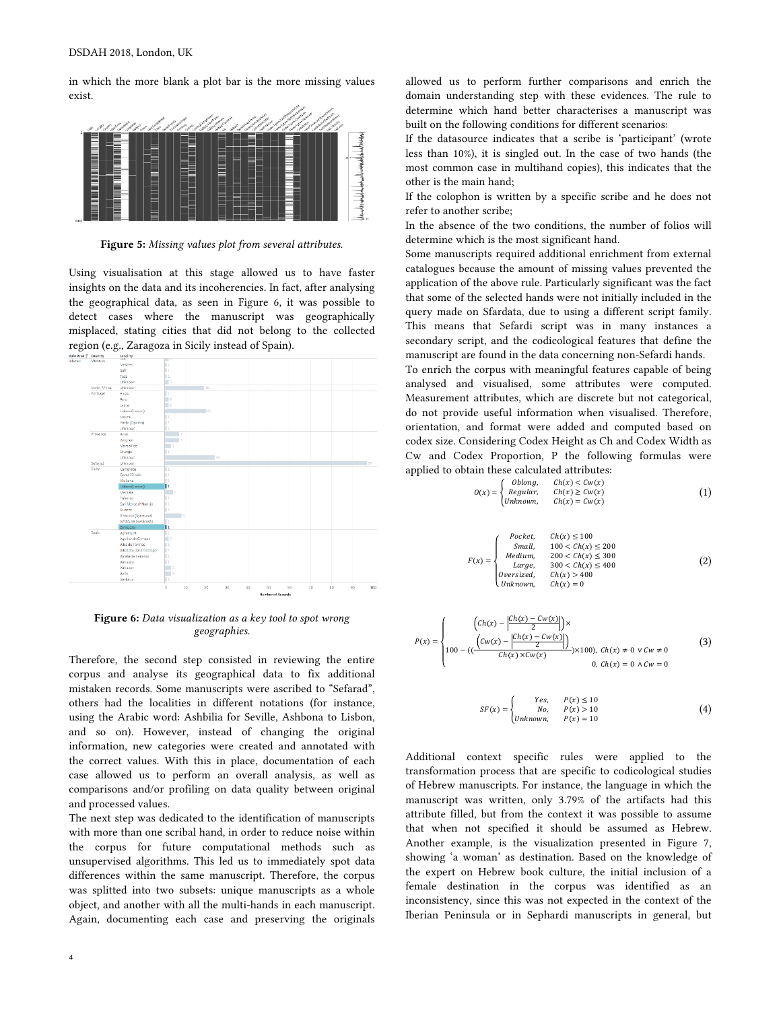in which the more blank a plot bar is the more missing values exist.



Figure 5: *Missing values plot from several a*t*ributes.*

Using visualisation at this stage allowed us to have faster insights on the data and its incoherencies. In fact, after analysing the geographical data, as seen in Figure 6, it was possible to detect cases where the manuscript was geographically misplaced, stating cities that did not belong to the collected region (e.g., Zaragoza in Sicily instead of Spain).



Figure 6: *Data visualization as a key tool to spot wrong geographies.*

Therefore, the second step consisted in reviewing the entire corpus and analyse its geographical data to fix additional mistaken records. Some manuscripts were ascribed to "Sefarad", others had the localities in different notations (for instance, using the Arabic word: Ashbilia for Seville, Ashbona to Lisbon, and so on). However, instead of changing the original information, new categories were created and annotated with the correct values. With this in place, documentation of each case allowed us to perform an overall analysis, as well as comparisons and/or profiling on data quality between original and processed values.

The next step was dedicated to the identification of manuscripts with more than one scribal hand, in order to reduce noise within the corpus for future computational methods such as unsupervised algorithms. This led us to immediately spot data differences within the same manuscript. Therefore, the corpus was splitted into two subsets: unique manuscripts as a whole object, and another with all the multi-hands in each manuscript. Again, documenting each case and preserving the originals

allowed us to perform further comparisons and enrich the domain understanding step with these evidences. The rule to determine which hand better characterises a manuscript was built on the following conditions for different scenarios:

If the datasource indicates that a scribe is 'participant' (wrote less than 10%), it is singled out. In the case of two hands (the most common case in multihand copies), this indicates that the other is the main hand;

If the colophon is written by a specific scribe and he does not refer to another scribe;

In the absence of the two conditions, the number of folios will determine which is the most significant hand.

Some manuscripts required additional enrichment from external catalogues because the amount of missing values prevented the application of the above rule. Particularly significant was the fact that some of the selected hands were not initially included in the query made on Sfardata, due to using a different script family. This means that Sefardi script was in many instances a secondary script, and the codicological features that define the manuscript are found in the data concerning non-Sefardi hands.

To enrich the corpus with meaningful features capable of being analysed and visualised, some attributes were computed. Measurement attributes, which are discrete but not categorical, do not provide useful information when visualised. Therefore, orientation, and format were added and computed based on codex size. Considering Codex Height as Ch and Codex Width as Cw and Codex Proportion, P the following formulas were applied to obtain these calculated attributes:

$$
O(x) = \begin{cases} \text{Oblong,} & Ch(x) < Cw(x) \\ \text{Regular,} & Ch(x) \geq Cw(x) \\ \text{Unknown,} & Ch(x) = Cw(x) \end{cases} \tag{1}
$$

$$
F(x) = \begin{cases} \text{Pocket}, & Ch(x) \le 100\\ \text{Small}, & 100 < Ch(x) \le 200\\ \text{Median}, & 200 < Ch(x) \le 300\\ \text{Large}, & 300 < Ch(x) \le 400\\ \text{oversized}, & Ch(x) > 400\\ \text{Unknown}, & Ch(x) = 0 \end{cases} \tag{2}
$$

$$
P(x) = \begin{cases} \n\left( \frac{Ch(x) - \frac{|Ch(x) - Cw(x)|}{2}}{\left( \frac{Cw(x) - \frac{|Ch(x) - Cw(x)|}{2}}{\left( \frac{Ch(x) - Cw(x)}{2} \right)} \right)} \times \frac{100}{C} < Cw \neq 0 \\
100 - \left( \frac{\left( \frac{Cw(x) - \frac{|Ch(x) - Cw(x)|}{2}}{\left( \frac{Ch(x) - \frac{Cw(x)}{2}} \right)} \right)}{\left( \frac{Ch(x)}{2} \right)} \times 100 \right), < Ch(x) \neq 0 \quad \forall \, Cw \neq 0\n\end{cases} \tag{3}
$$

$$
SF(x) = \begin{cases} Yes, & P(x) \le 10\\ No, & P(x) > 10\\ Unknown, & P(x) = 10 \end{cases}
$$
(4)

Additional context specific rules were applied to the transformation process that are specific to codicological studies of Hebrew manuscripts. For instance, the language in which the manuscript was written, only 3.79% of the artifacts had this attribute filled, but from the context it was possible to assume that when not specified it should be assumed as Hebrew. Another example, is the visualization presented in Figure 7, showing 'a woman' as destination. Based on the knowledge of the expert on Hebrew book culture, the initial inclusion of a female destination in the corpus was identified as an inconsistency, since this was not expected in the context of the Iberian Peninsula or in Sephardi manuscripts in general, but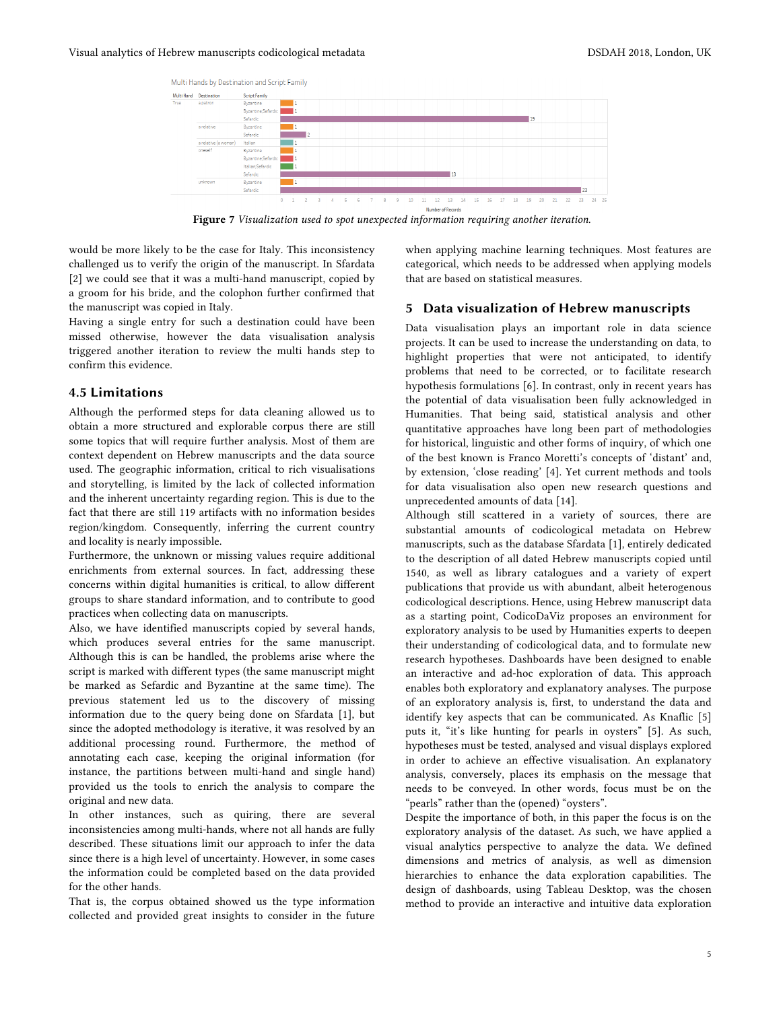

Figure 7 *Visualization used to spot unexpected information requiring another iteration.*

would be more likely to be the case for Italy. This inconsistency challenged us to verify the origin of the manuscript. In Sfardata [2] we could see that it was a multi-hand manuscript, copied by a groom for his bride, and the colophon further confirmed that the manuscript was copied in Italy.

Having a single entry for such a destination could have been missed otherwise, however the data visualisation analysis triggered another iteration to review the multi hands step to confirm this evidence.

# 4.5 Limitations

Although the performed steps for data cleaning allowed us to obtain a more structured and explorable corpus there are still some topics that will require further analysis. Most of them are context dependent on Hebrew manuscripts and the data source used. The geographic information, critical to rich visualisations and storytelling, is limited by the lack of collected information and the inherent uncertainty regarding region. This is due to the fact that there are still 119 artifacts with no information besides region/kingdom. Consequently, inferring the current country and locality is nearly impossible.

Furthermore, the unknown or missing values require additional enrichments from external sources. In fact, addressing these concerns within digital humanities is critical, to allow different groups to share standard information, and to contribute to good practices when collecting data on manuscripts.

Also, we have identified manuscripts copied by several hands, which produces several entries for the same manuscript. Although this is can be handled, the problems arise where the script is marked with different types (the same manuscript might be marked as Sefardic and Byzantine at the same time). The previous statement led us to the discovery of missing information due to the query being done on Sfardata [1], but since the adopted methodology is iterative, it was resolved by an additional processing round. Furthermore, the method of annotating each case, keeping the original information (for instance, the partitions between multi-hand and single hand) provided us the tools to enrich the analysis to compare the original and new data.

In other instances, such as quiring, there are several inconsistencies among multi-hands, where not all hands are fully described. These situations limit our approach to infer the data since there is a high level of uncertainty. However, in some cases the information could be completed based on the data provided for the other hands.

That is, the corpus obtained showed us the type information collected and provided great insights to consider in the future when applying machine learning techniques. Most features are categorical, which needs to be addressed when applying models that are based on statistical measures.

## 5 Data visualization of Hebrew manuscripts

Data visualisation plays an important role in data science projects. It can be used to increase the understanding on data, to highlight properties that were not anticipated, to identify problems that need to be corrected, or to facilitate research hypothesis formulations [6]. In contrast, only in recent years has the potential of data visualisation been fully acknowledged in Humanities. That being said, statistical analysis and other quantitative approaches have long been part of methodologies for historical, linguistic and other forms of inquiry, of which one of the best known is Franco Moretti's concepts of 'distant' and, by extension, 'close reading' [4]. Yet current methods and tools for data visualisation also open new research questions and unprecedented amounts of data [14].

Although still scattered in a variety of sources, there are substantial amounts of codicological metadata on Hebrew manuscripts, such as the database Sfardata [1], entirely dedicated to the description of all dated Hebrew manuscripts copied until 1540, as well as library catalogues and a variety of expert publications that provide us with abundant, albeit heterogenous codicological descriptions. Hence, using Hebrew manuscript data as a starting point, CodicoDaViz proposes an environment for exploratory analysis to be used by Humanities experts to deepen their understanding of codicological data, and to formulate new research hypotheses. Dashboards have been designed to enable an interactive and ad-hoc exploration of data. This approach enables both exploratory and explanatory analyses. The purpose of an exploratory analysis is, first, to understand the data and identify key aspects that can be communicated. As Knaflic [5] puts it, "it's like hunting for pearls in oysters" [5]. As such, hypotheses must be tested, analysed and visual displays explored in order to achieve an effective visualisation. An explanatory analysis, conversely, places its emphasis on the message that needs to be conveyed. In other words, focus must be on the "pearls" rather than the (opened) "oysters".

Despite the importance of both, in this paper the focus is on the exploratory analysis of the dataset. As such, we have applied a visual analytics perspective to analyze the data. We defined dimensions and metrics of analysis, as well as dimension hierarchies to enhance the data exploration capabilities. The design of dashboards, using Tableau Desktop, was the chosen method to provide an interactive and intuitive data exploration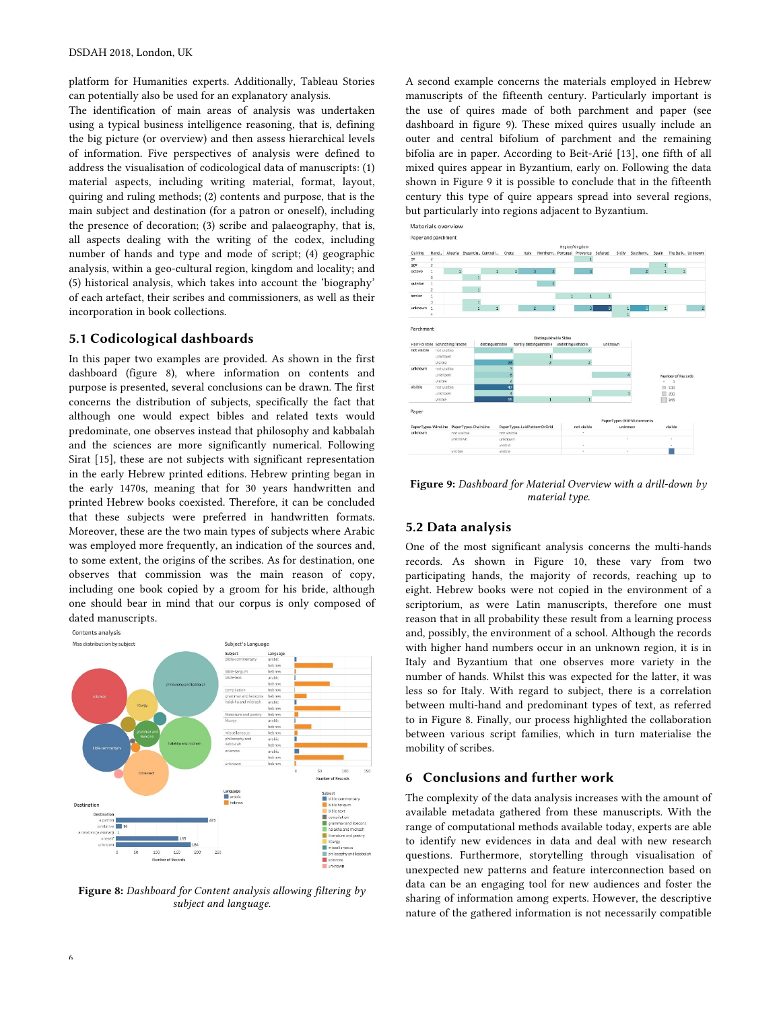platform for Humanities experts. Additionally, Tableau Stories can potentially also be used for an explanatory analysis.

The identification of main areas of analysis was undertaken using a typical business intelligence reasoning, that is, defining the big picture (or overview) and then assess hierarchical levels of information. Five perspectives of analysis were defined to address the visualisation of codicological data of manuscripts: (1) material aspects, including writing material, format, layout, quiring and ruling methods; (2) contents and purpose, that is the main subject and destination (for a patron or oneself), including the presence of decoration; (3) scribe and palaeography, that is, all aspects dealing with the writing of the codex, including number of hands and type and mode of script; (4) geographic analysis, within a geo-cultural region, kingdom and locality; and (5) historical analysis, which takes into account the 'biography' of each artefact, their scribes and commissioners, as well as their incorporation in book collections.

## 5.1 Codicological dashboards

In this paper two examples are provided. As shown in the first dashboard (figure 8), where information on contents and purpose is presented, several conclusions can be drawn. The first concerns the distribution of subjects, specifically the fact that although one would expect bibles and related texts would predominate, one observes instead that philosophy and kabbalah and the sciences are more significantly numerical. Following Sirat [15], these are not subjects with significant representation in the early Hebrew printed editions. Hebrew printing began in the early 1470s, meaning that for 30 years handwritten and printed Hebrew books coexisted. Therefore, it can be concluded that these subjects were preferred in handwritten formats. Moreover, these are the two main types of subjects where Arabic was employed more frequently, an indication of the sources and, to some extent, the origins of the scribes. As for destination, one observes that commission was the main reason of copy, including one book copied by a groom for his bride, although one should bear in mind that our corpus is only composed of dated manuscripts.



Figure 8: *Dashboard for Content analysis allowing* fi*ltering by subject and language.*

A second example concerns the materials employed in Hebrew manuscripts of the fifteenth century. Particularly important is the use of quires made of both parchment and paper (see dashboard in figure 9). These mixed quires usually include an outer and central bifolium of parchment and the remaining bifolia are in paper. According to Beit-Arié [13], one fifth of all mixed quires appear in Byzantium, early on. Following the data shown in Figure 9 it is possible to conclude that in the fifteenth century this type of quire appears spread into several regions, but particularly into regions adjacent to Byzantium.

Materials overview



Figure 9: *Dashboard for Material Overview with a drill-down by material type.*

### 5.2 Data analysis

One of the most significant analysis concerns the multi-hands records. As shown in Figure 10, these vary from two participating hands, the majority of records, reaching up to eight. Hebrew books were not copied in the environment of a scriptorium, as were Latin manuscripts, therefore one must reason that in all probability these result from a learning process and, possibly, the environment of a school. Although the records with higher hand numbers occur in an unknown region, it is in Italy and Byzantium that one observes more variety in the number of hands. Whilst this was expected for the latter, it was less so for Italy. With regard to subject, there is a correlation between multi-hand and predominant types of text, as referred to in Figure 8. Finally, our process highlighted the collaboration between various script families, which in turn materialise the mobility of scribes.

## 6 Conclusions and further work

The complexity of the data analysis increases with the amount of available metadata gathered from these manuscripts. With the range of computational methods available today, experts are able to identify new evidences in data and deal with new research questions. Furthermore, storytelling through visualisation of unexpected new patterns and feature interconnection based on data can be an engaging tool for new audiences and foster the sharing of information among experts. However, the descriptive nature of the gathered information is not necessarily compatible